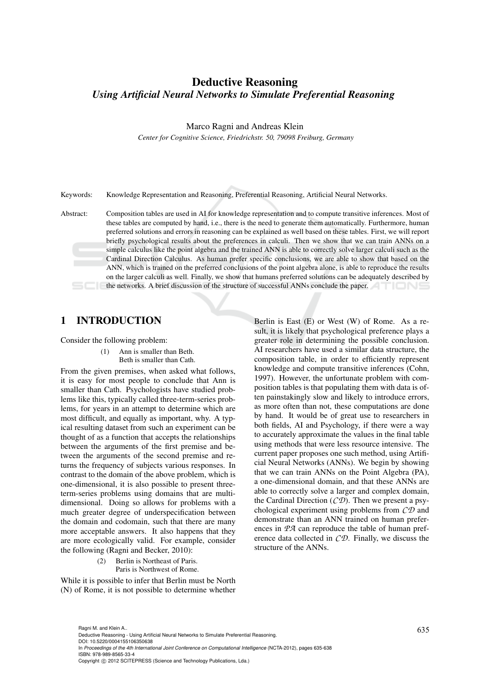# Deductive Reasoning *Using Artificial Neural Networks to Simulate Preferential Reasoning*

Marco Ragni and Andreas Klein

*Center for Cognitive Science, Friedrichstr. 50, 79098 Freiburg, Germany*

Keywords: Knowledge Representation and Reasoning, Preferential Reasoning, Artificial Neural Networks.

Abstract: Composition tables are used in AI for knowledge representation and to compute transitive inferences. Most of these tables are computed by hand, i.e., there is the need to generate them automatically. Furthermore, human preferred solutions and errors in reasoning can be explained as well based on these tables. First, we will report briefly psychological results about the preferences in calculi. Then we show that we can train ANNs on a simple calculus like the point algebra and the trained ANN is able to correctly solve larger calculi such as the Cardinal Direction Calculus. As human prefer specific conclusions, we are able to show that based on the ANN, which is trained on the preferred conclusions of the point algebra alone, is able to reproduce the results on the larger calculi as well. Finally, we show that humans preferred solutions can be adequately described by the networks. A brief discussion of the structure of successful ANNs conclude the paper.

#### 1 INTRODUCTION

Consider the following problem:

(1) Ann is smaller than Beth. Beth is smaller than Cath.

From the given premises, when asked what follows, it is easy for most people to conclude that Ann is smaller than Cath. Psychologists have studied problems like this, typically called three-term-series problems, for years in an attempt to determine which are most difficult, and equally as important, why. A typical resulting dataset from such an experiment can be thought of as a function that accepts the relationships between the arguments of the first premise and between the arguments of the second premise and returns the frequency of subjects various responses. In contrast to the domain of the above problem, which is one-dimensional, it is also possible to present threeterm-series problems using domains that are multidimensional. Doing so allows for problems with a much greater degree of underspecification between the domain and codomain, such that there are many more acceptable answers. It also happens that they are more ecologically valid. For example, consider the following (Ragni and Becker, 2010):

> (2) Berlin is Northeast of Paris. Paris is Northwest of Rome.

While it is possible to infer that Berlin must be North (N) of Rome, it is not possible to determine whether Berlin is East (E) or West (W) of Rome. As a result, it is likely that psychological preference plays a greater role in determining the possible conclusion. AI researchers have used a similar data structure, the composition table, in order to efficiently represent knowledge and compute transitive inferences (Cohn, 1997). However, the unfortunate problem with composition tables is that populating them with data is often painstakingly slow and likely to introduce errors, as more often than not, these computations are done by hand. It would be of great use to researchers in both fields, AI and Psychology, if there were a way to accurately approximate the values in the final table using methods that were less resource intensive. The current paper proposes one such method, using Artificial Neural Networks (ANNs). We begin by showing that we can train ANNs on the Point Algebra (PA), a one-dimensional domain, and that these ANNs are able to correctly solve a larger and complex domain, the Cardinal Direction (*CD*). Then we present a psychological experiment using problems from *CD* and demonstrate than an ANN trained on human preferences in *PA* can reproduce the table of human preference data collected in *CD*. Finally, we discuss the structure of the ANNs.

Ragni M. and Klein A..<br>Deductive Reasoning - Using Artificial Neural Networks to Simulate Preferential Reasoning. DOI: 10.5220/0004155106350638 In *Proceedings of the 4th International Joint Conference on Computational Intelligence* (NCTA-2012), pages 635-638 ISBN: 978-989-8565-33-4 Copyright (C) 2012 SCITEPRESS (Science and Technology Publications, Lda.)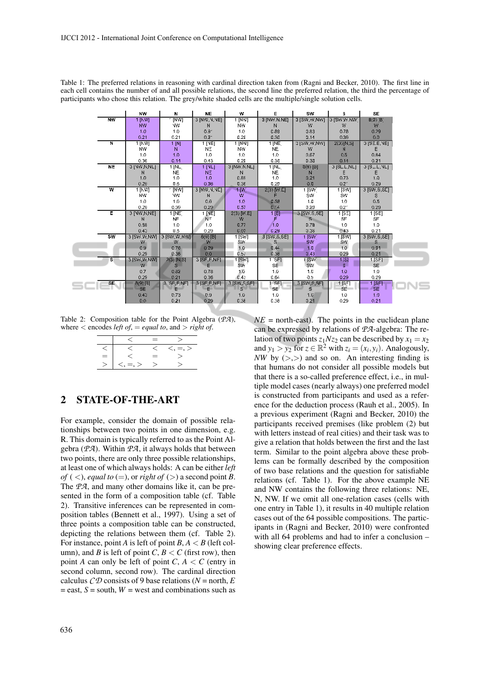|                         | <b>NW</b>               | N                      | <b>NE</b>         | w                 | E                | SW                  | s                   | <b>SE</b>             |
|-------------------------|-------------------------|------------------------|-------------------|-------------------|------------------|---------------------|---------------------|-----------------------|
| NW                      | 1 [NW]                  | <b>INVI</b>            | 3 [NW, V, VE]     | $[W^{\alpha}]$    | 3 [NW.N.NE]      | 3 [SW, W, NW]       | 3 ISW,W.NWT         | B(3)[B]               |
|                         | NW <sub></sub>          | NW                     | N                 | NW                | N                | w                   | W                   | 恩                     |
|                         | 1.0                     | 1.0                    | 0.9 <sup>o</sup>  | 4.0               | 0.89             | 3.83                | 0.78                | 0.29                  |
|                         | 0.21                    | 0.21                   | $0.2 -$           | 0.28              | 0.36             | 3.14                | 0.36                | 0.0                   |
| $\overline{\mathsf{N}}$ | $1$ $ NN $              | 1 [N]                  | $1$ [NE]          | $1$ $ WW $        | 1 INE            | <b>31SW, W, NWT</b> | $2(3)$ [N,S]        | 3[SE.E,VE]            |
|                         | <b>NW</b>               | N                      | NΞ                | NW                | NE.              | W                   | N                   | E                     |
|                         | 1.0                     | 1.0                    | 1.0               | 1.0               | 1.0 <sub>2</sub> | 0.67                | 0.5                 | 0.64                  |
|                         | 0.96                    | 0.14                   | 0.43              | 0.29              | 0.36             | 0.33                | 0.14                | 0.21                  |
| <b>NE</b>               | 3 [NW,N,NL]             | 1 INL                  | 1 [NL]            | 3 [NW.N.NL]       | 1 INL            | $8(9)$ [B]          | 3 [SL.L,NL]         | $3[5-L, 3L]$          |
|                         | N                       | <b>NE</b>              | NE.               | N                 | NE.              | N                   | Е                   | Е                     |
|                         | 1.0                     | 1.0                    | 1.0               | 0.89              | 1.0              | 3.21                | 0.73                | 1.0                   |
|                         | 0.29                    | 0.5                    | 0.36              | 0.36              | 0.29             | 0.0                 | $0.2^{\circ}$       | 0.29                  |
| w                       | 1 [NV]                  | <b>INWI</b>            | 3 [NW, V, VE]     | 10 <sup>o</sup>   | $2(3)$ [W.E]     | ⊺[SW]               | 1 [SW]              | 3 [SW, S, SE]         |
|                         | NW.                     | NW.                    | N                 | w                 | F                | SW                  | SW                  | s                     |
|                         | 1.0                     | 1.0                    | 0.6               | 1.0               | 0.58             | 1.0                 | 1.0                 | 0.5                   |
|                         | 0.29                    | 0.39                   | 0.29              | 0.57              | $C^{\prime}$     | 0.20                | $0.2^{\circ}$       | 0.29                  |
| Ε                       | 3 [NW,N,NE]             | 1 [NE]                 | 1 [NE]            | 2(3) [W.E]        | 1[日]             | 3 [SW.S.SE]         | 1 [SE]              | 1 [SE]                |
|                         | N                       | <b>NF</b>              | $N =$             | w                 | F                | s.                  | SF                  | <b>SF</b>             |
|                         | 0.88                    | 1.0                    | 1.0               | 0.77              | 1.0              | 0.7B                | 1.0                 | 1.0                   |
|                         | 0.43                    | 0.5                    | 0.29              | 0.07              | 0.29             | 0.38                | 0.43                | 0.21                  |
| <b>SW</b>               | 3 [SW.W.NW]             | 3 [SW,W,NW]            | 8(9) [B]          | 1 [SW]            | 3 [SW, S, SE]    | $1$ [SW]            | 1 [SW]              | 3 [SW, S, SE]         |
|                         | W                       | W                      | 26                | SW                | S.               | SW.                 | SW.                 | s                     |
|                         | 0.9                     | 0.78                   | 0.29              | 1.0               | 0.44             | 1.0                 | 1.0                 | 0.91                  |
| $\overline{\mathbf{s}}$ | 0.29                    | 0.36                   | 0.0               | 0.57              | 0.36             | 0.43<br>⊢isw"       | 0.29                | 0.21                  |
|                         | 3 [SW,W,NW]             | 2(3) [N, S]            | S[SET, F, NF]     | 1 [SW]<br>SW      | $1$ SF]<br>SE.   | SW <sub></sub>      | $1$ [S]<br>s.       | $1$ [SF]<br><b>SE</b> |
|                         | W.                      | $S -$                  | E                 |                   |                  |                     |                     |                       |
|                         | 0.7                     | 0.82                   | 0.78              | 1.0               | 1.0              | 1.0                 | 1.0                 | 1.0                   |
|                         | 0.29                    | 0.21                   | 0.36              | 0.43              | 0.64             | 0.5                 | 0.29                | 0.29                  |
| <b>SE</b>               | $8(9)$ [B]<br><b>SE</b> | <b>B. SELENE</b><br>E. | 3 [SE.F.NE]<br>E. | 3 [SW,S:SE]<br>s. | [SF]<br>SE.      | 3 [SW:S,SF]<br>s    | $1$ [ $SF$ ]<br>SE. | $1$ [SF]<br>SE.       |
|                         | 0.43                    | 0.73                   | 0.9               | 1.0               | 1.0              | 1.6                 | 1.0                 | 1,0                   |
|                         | 0.0                     | 0.21                   | 0.29              | 0.36              | 0.36             | 3.21                | 0.29                | 0.21                  |

Table 1: The preferred relations in reasoning with cardinal direction taken from (Ragni and Becker, 2010). The first line in each cell contains the number of and all possible relations, the second line the preferred relation, the third the percentage of participants who chose this relation. The grey/white shaded cells are the multiple/single solution cells.

Table 2: Composition table for the Point Algebra (*PA*), where  $\lt$  encodes *left of*,  $=$  *equal to*, and  $>$  *right of*.

|     | = |   |
|-----|---|---|
|     |   | = |
| $=$ | ═ |   |
|     |   |   |

## 2 STATE-OF-THE-ART

For example, consider the domain of possible relationships between two points in one dimension, e.g. R. This domain is typically referred to as the Point Algebra (*PA*). Within *PA*, it always holds that between two points, there are only three possible relationships, at least one of which always holds: A can be either *left of* (<), *equal to* (=), or *right of* (>) a second point *B*. The *PA*, and many other domains like it, can be presented in the form of a composition table (cf. Table 2). Transitive inferences can be represented in composition tables (Bennett et al., 1997). Using a set of three points a composition table can be constructed, depicting the relations between them (cf. Table 2). For instance, point *A* is left of point  $B, A \lt B$  (left column), and *B* is left of point *C*,  $B < C$  (first row), then point *A* can only be left of point *C*,  $A \le C$  (entry in second column, second row). The cardinal direction calculus  $\mathcal{CD}$  consists of 9 base relations ( $N =$  north,  $E$  $=$  east,  $S =$  south,  $W =$  west and combinations such as  $NE =$  north-east). The points in the euclidean plane can be expressed by relations of *PA*-algebra: The relation of two points  $z_1Nz_2$  can be described by  $x_1 = x_2$ and  $y_1 > y_2$  for  $z \in \mathbb{R}^2$  with  $z_i = (x_i, y_i)$ . Analogously, *NW* by  $(>,>)$  and so on. An interesting finding is that humans do not consider all possible models but that there is a so-called preference effect, i.e., in multiple model cases (nearly always) one preferred model is constructed from participants and used as a reference for the deduction process (Rauh et al., 2005). In a previous experiment (Ragni and Becker, 2010) the participants received premises (like problem (2) but with letters instead of real cities) and their task was to give a relation that holds between the first and the last term. Similar to the point algebra above these problems can be formally described by the composition of two base relations and the question for satisfiable relations (cf. Table 1). For the above example NE and NW contains the following three relations: NE, N, NW. If we omit all one-relation cases (cells with one entry in Table 1), it results in 40 multiple relation cases out of the 64 possible compositions. The participants in (Ragni and Becker, 2010) were confronted with all 64 problems and had to infer a conclusion – showing clear preference effects.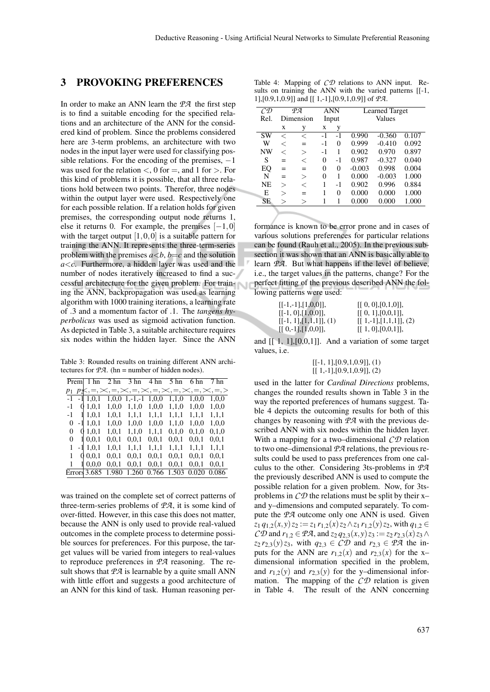### 3 PROVOKING PREFERENCES

In order to make an ANN learn the *PA* the first step is to find a suitable encoding for the specified relations and an architecture of the ANN for the considered kind of problem. Since the problems considered here are 3-term problems, an architecture with two nodes in the input layer were used for classifying possible relations. For the encoding of the premises,  $-1$ was used for the relation  $\lt$ , 0 for  $=$ , and 1 for  $>$ . For this kind of problems it is possible, that all three relations hold between two points. Therefor, three nodes within the output layer were used. Respectively one for each possible relation. If a relation holds for given premises, the corresponding output node returns 1, else it returns 0. For example, the premises  $[-1,0]$ with the target output  $[1,0,0]$  is a suitable pattern for training the ANN. It represents the three-term-series problem with the premises  $a \leq b$ ,  $b = c$  and the solution *a*<*c*. Furthermore, a hidden layer was used and the number of nodes iteratively increased to find a successful architecture for the given problem. For training the ANN, backpropagation was used as learning algorithm with 1000 training iterations, a learning rate of .3 and a momentum factor of .1. The *tangens hyperbolicus* was used as sigmoid activation function. As depicted in Table 3, a suitable architecture requires six nodes within the hidden layer. Since the ANN

Table 3: Rounded results on training different ANN architectures for  $\mathcal{P}A$ . (hn = number of hidden nodes).

|       |   | Prem $\vert$ 1 hn 2 hn |       |                       | $3 \text{ hn}$ $4 \text{ hn}$ $5 \text{ hn}$ |       | 6 hn  | 7 hn                                                                                  |
|-------|---|------------------------|-------|-----------------------|----------------------------------------------|-------|-------|---------------------------------------------------------------------------------------|
| $p_1$ |   |                        |       |                       |                                              |       |       | $p\mathbf{x}, =, \times, =, \times, =, \times, =, \times, =, \times, =, \times, =, >$ |
| $-1$  |   | $-11,0,1$              |       | $1,0,0$ 1,-1,-1 1,0,0 |                                              | 1,1,0 | 1,0,0 | 1,0,0                                                                                 |
| $-1$  |   | 01.0,1                 | 1,0,0 | 1,1,0                 | 1.0.0                                        | 1.1.0 | 1.0.0 | 1.0.0                                                                                 |
| -1 -  | 1 | 1,0,1                  | 1,0,1 | 1,1,1                 | 1,1,1                                        | 1,1,1 | 1,1,1 | 1,1,1                                                                                 |
| 0     |   | $-11,0,1$              | 1,0,0 | 1,0,0                 | 1,0,0                                        | 1,1,0 | 1,0,0 | 1,0,0                                                                                 |
| 0     |   | 01.0.1                 | 1.0.1 | 1.1.0                 | 1.1.1                                        | 0.1.0 | 0.1.0 | 0.1.0                                                                                 |
| 0     |   | 10.0,1                 | 0.0,1 | 0,0,1                 | 0,0,1                                        | 0.0,1 | 0,0,1 | 0,0,1                                                                                 |
| 1     |   | $-11,0,1$              | 1.0.1 | 1.1.1                 | 1.1.1                                        | 1.1.1 | 1.1.1 | 1.1.1                                                                                 |
| 1     |   | 00.0,1                 | 0,0,1 | 0.0,1                 | 0,0,1                                        | 0,0,1 | 0,0,1 | 0.0.1                                                                                 |
|       |   | 10.0.0                 | 0.0.1 | 0.0.1                 | 0,0,1                                        | 0.0.1 | 0.0.1 | 0.0.1                                                                                 |
|       |   | Errors 3.685 1.980     |       |                       | 1.260 0.766 1.503                            |       | 0.020 | 0.086                                                                                 |

was trained on the complete set of correct patterns of three-term-series problems of *PA*, it is some kind of over-fitted. However, in this case this does not matter, because the ANN is only used to provide real-valued outcomes in the complete process to determine possible sources for preferences. For this purpose, the target values will be varied from integers to real-values to reproduce preferences in *PA* reasoning. The result shows that  $\mathcal{P}A$  is learnable by a quite small ANN with little effort and suggests a good architecture of an ANN for this kind of task. Human reasoning per-

Table 4: Mapping of *CD* relations to ANN input. Results on training the ANN with the varied patterns [[-1, 1],[0.9,1,0.9]] and [[ 1,-1],[0.9,1,0.9]] of *PA*.

| СD        | ΦЯ        |          | ANN      |    | <b>Learned Target</b> |          |       |  |
|-----------|-----------|----------|----------|----|-----------------------|----------|-------|--|
| Rel.      | Dimension |          | Input    |    | Values                |          |       |  |
|           | X         | у        | X        | у  |                       |          |       |  |
| SW        | <         | <        | $-1$     | -1 | 0.990                 | $-0.360$ | 0.107 |  |
| W         | <         | $=$      | $-1$     | 0  | 0.999                 | $-0.410$ | 0.092 |  |
| <b>NW</b> | <         | $\rm{>}$ | $-1$     | 1  | 0.902                 | 0.970    | 0.897 |  |
| S         | $=$       | <        | $\theta$ | -1 | 0.987                 | $-0.327$ | 0.040 |  |
| EQ        | $=$       | $=$      | $\theta$ | 0  | $-0.003$              | 0.998    | 0.004 |  |
| N         | $=$       | $\rm{>}$ | $\theta$ | 1  | 0.000                 | $-0.003$ | 1.000 |  |
| <b>NE</b> | $\gt$     | $\,<\,$  | 1        | -1 | 0.902                 | 0.996    | 0.884 |  |
| Е         | $\,>\,$   | $=$      | 1        | 0  | 0.000                 | 0.000    | 1.000 |  |
| SЕ        | >         | >        | 1        |    | 0.000                 | 0.000    | 1.000 |  |
|           |           |          |          |    |                       |          |       |  |

formance is known to be error prone and in cases of various solutions preferences for particular relations can be found (Rauh et al., 2005). In the previous subsection it was shown that an ANN is basically able to learn *PA*. But what happens if the level of believe, i.e., the target values in the patterns, change? For the perfect fitting of the previous described ANN the following patterns were used:

| $[[-1,-1],[1,0,0]],$      | [[0, 0], [0, 1, 0]],    |
|---------------------------|-------------------------|
| $[[-1, 0], [1, 0, 0]],$   | [[0, 1], [0, 0, 1]],    |
| $[[-1, 1], [1,1,1]], (1)$ | $[[1,-1],[1,1,1]], (2)$ |
| $[[0,-1],[1,0,0]],$       | [[ 1, 0], [0, 0, 1]],   |

and  $[1, 1]$ ,  $[0, 0, 1]$ . And a variation of some target values, i.e.

$$
\begin{array}{c} [[-1, 1], [0.9, 1, 0.9]], (1) \\ [[1, -1], [0.9, 1, 0.9]], (2) \end{array}
$$

used in the latter for *Cardinal Directions* problems, changes the rounded results shown in Table 3 in the way the reported preferences of humans suggest. Table 4 depicts the outcoming results for both of this changes by reasoning with *PA* with the previous described ANN with six nodes within the hidden layer. With a mapping for a two–dimensional *CD* relation to two one–dimensional *PA* relations, the previous results could be used to pass preferences from one calculus to the other. Considering 3ts-problems in *PA* the previously described ANN is used to compute the possible relation for a given problem. Now, for 3tsproblems in *CD* the relations must be split by their x– and y–dimensions and computed separately. To compute the *PA* outcome only one ANN is used. Given *z*<sub>1</sub> *q*<sub>1,2</sub>(*x*, *y*) *z*<sub>2</sub> := *z*<sub>1</sub> *r*<sub>1,2</sub>(*x*) *z*<sub>2</sub> ∧*z*<sub>1</sub> *r*<sub>1,2</sub>(*y*) *z*<sub>2</sub>, with *q*<sub>1,2</sub> ∈  $CD$  and  $r_{1,2} \in \mathcal{P}A$ , and  $z_2 q_{2,3}(x, y) z_3 := z_2 r_{2,3}(x) z_3 \wedge z_3$  $z_2 r_{2,3}(y) z_3$ , with  $q_{2,3} \in C\mathcal{D}$  and  $r_{2,3} \in \mathcal{P}\mathcal{A}$  the inputs for the ANN are  $r_{1,2}(x)$  and  $r_{2,3}(x)$  for the xdimensional information specified in the problem, and  $r_{1,2}(y)$  and  $r_{2,3}(y)$  for the y–dimensional information. The mapping of the *CD* relation is given in Table 4. The result of the ANN concerning